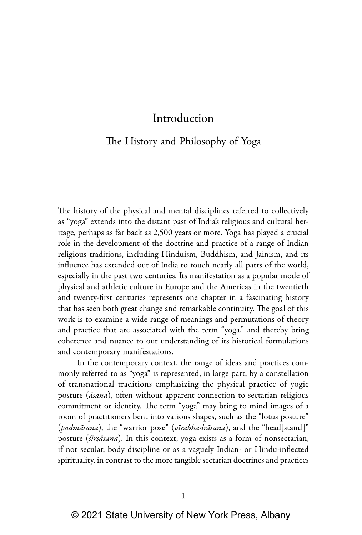## The History and Philosophy of Yoga

The history of the physical and mental disciplines referred to collectively as "yoga" extends into the distant past of India's religious and cultural heritage, perhaps as far back as 2,500 years or more. Yoga has played a crucial role in the development of the doctrine and practice of a range of Indian religious traditions, including Hinduism, Buddhism, and Jainism, and its influence has extended out of India to touch nearly all parts of the world, especially in the past two centuries. Its manifestation as a popular mode of physical and athletic culture in Europe and the Americas in the twentieth and twenty-first centuries represents one chapter in a fascinating history that has seen both great change and remarkable continuity. The goal of this work is to examine a wide range of meanings and permutations of theory and practice that are associated with the term "yoga," and thereby bring coherence and nuance to our understanding of its historical formulations and contemporary manifestations.

In the contemporary context, the range of ideas and practices commonly referred to as "yoga" is represented, in large part, by a constellation of transnational traditions emphasizing the physical practice of yogic posture (*āsana*), often without apparent connection to sectarian religious commitment or identity. The term "yoga" may bring to mind images of a room of practitioners bent into various shapes, such as the "lotus posture" (*padmāsana*), the "warrior pose" (*vīrabhadrāsana*), and the "head[stand]" posture (*śīrṣāsana*). In this context, yoga exists as a form of nonsectarian, if not secular, body discipline or as a vaguely Indian- or Hindu-inflected spirituality, in contrast to the more tangible sectarian doctrines and practices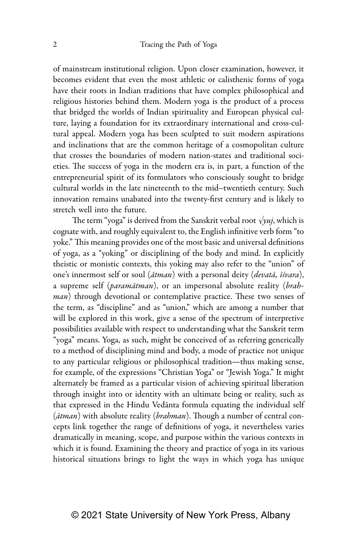of mainstream institutional religion. Upon closer examination, however, it becomes evident that even the most athletic or calisthenic forms of yoga have their roots in Indian traditions that have complex philosophical and religious histories behind them. Modern yoga is the product of a process that bridged the worlds of Indian spirituality and European physical culture, laying a foundation for its extraordinary international and cross-cultural appeal. Modern yoga has been sculpted to suit modern aspirations and inclinations that are the common heritage of a cosmopolitan culture that crosses the boundaries of modern nation-states and traditional societies. The success of yoga in the modern era is, in part, a function of the entrepreneurial spirit of its formulators who consciously sought to bridge cultural worlds in the late nineteenth to the mid–twentieth century. Such innovation remains unabated into the twenty-first century and is likely to stretch well into the future.

The term "yoga" is derived from the Sanskrit verbal root *√yuj*, which is cognate with, and roughly equivalent to, the English infinitive verb form "to yoke." This meaning provides one of the most basic and universal definitions of yoga, as a "yoking" or disciplining of the body and mind. In explicitly theistic or monistic contexts, this yoking may also refer to the "union" of one's innermost self or soul (*ātman*) with a personal deity (*devatā, īśvara*), a supreme self (*paramātman*), or an impersonal absolute reality (*brahman*) through devotional or contemplative practice. These two senses of the term, as "discipline" and as "union," which are among a number that will be explored in this work, give a sense of the spectrum of interpretive possibilities available with respect to understanding what the Sanskrit term "yoga" means. Yoga, as such, might be conceived of as referring generically to a method of disciplining mind and body, a mode of practice not unique to any particular religious or philosophical tradition—thus making sense, for example, of the expressions "Christian Yoga" or "Jewish Yoga." It might alternately be framed as a particular vision of achieving spiritual liberation through insight into or identity with an ultimate being or reality, such as that expressed in the Hindu Vedānta formula equating the individual self (*ātman*) with absolute reality (*brahman*). Though a number of central concepts link together the range of definitions of yoga, it nevertheless varies dramatically in meaning, scope, and purpose within the various contexts in which it is found. Examining the theory and practice of yoga in its various historical situations brings to light the ways in which yoga has unique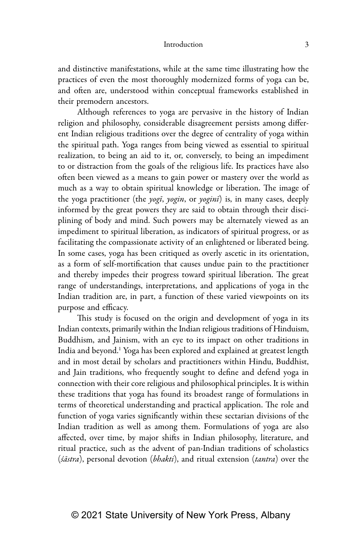and distinctive manifestations, while at the same time illustrating how the practices of even the most thoroughly modernized forms of yoga can be, and often are, understood within conceptual frameworks established in their premodern ancestors.

Although references to yoga are pervasive in the history of Indian religion and philosophy, considerable disagreement persists among different Indian religious traditions over the degree of centrality of yoga within the spiritual path. Yoga ranges from being viewed as essential to spiritual realization, to being an aid to it, or, conversely, to being an impediment to or distraction from the goals of the religious life. Its practices have also often been viewed as a means to gain power or mastery over the world as much as a way to obtain spiritual knowledge or liberation. The image of the yoga practitioner (the *yogī*, *yogin*, or *yoginī*) is, in many cases, deeply informed by the great powers they are said to obtain through their disciplining of body and mind. Such powers may be alternately viewed as an impediment to spiritual liberation, as indicators of spiritual progress, or as facilitating the compassionate activity of an enlightened or liberated being. In some cases, yoga has been critiqued as overly ascetic in its orientation, as a form of self-mortification that causes undue pain to the practitioner and thereby impedes their progress toward spiritual liberation. The great range of understandings, interpretations, and applications of yoga in the Indian tradition are, in part, a function of these varied viewpoints on its purpose and efficacy.

This study is focused on the origin and development of yoga in its Indian contexts, primarily within the Indian religious traditions of Hinduism, Buddhism, and Jainism, with an eye to its impact on other traditions in India and beyond.<sup>1</sup> Yoga has been explored and explained at greatest length and in most detail by scholars and practitioners within Hindu, Buddhist, and Jain traditions, who frequently sought to define and defend yoga in connection with their core religious and philosophical principles. It is within these traditions that yoga has found its broadest range of formulations in terms of theoretical understanding and practical application. The role and function of yoga varies significantly within these sectarian divisions of the Indian tradition as well as among them. Formulations of yoga are also affected, over time, by major shifts in Indian philosophy, literature, and ritual practice, such as the advent of pan-Indian traditions of scholastics (*śāstra*), personal devotion (*bhakti*), and ritual extension (*tantra*) over the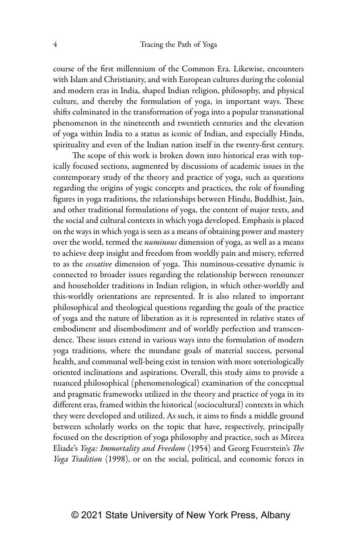course of the first millennium of the Common Era. Likewise, encounters with Islam and Christianity, and with European cultures during the colonial and modern eras in India, shaped Indian religion, philosophy, and physical culture, and thereby the formulation of yoga, in important ways. These shifts culminated in the transformation of yoga into a popular transnational phenomenon in the nineteenth and twentieth centuries and the elevation of yoga within India to a status as iconic of Indian, and especially Hindu, spirituality and even of the Indian nation itself in the twenty-first century.

The scope of this work is broken down into historical eras with topically focused sections, augmented by discussions of academic issues in the contemporary study of the theory and practice of yoga, such as questions regarding the origins of yogic concepts and practices, the role of founding figures in yoga traditions, the relationships between Hindu, Buddhist, Jain, and other traditional formulations of yoga, the content of major texts, and the social and cultural contexts in which yoga developed. Emphasis is placed on the ways in which yoga is seen as a means of obtaining power and mastery over the world, termed the *numinous* dimension of yoga, as well as a means to achieve deep insight and freedom from worldly pain and misery, referred to as the *cessative* dimension of yoga. This numinous-cessative dynamic is connected to broader issues regarding the relationship between renouncer and householder traditions in Indian religion, in which other-worldly and this-worldly orientations are represented. It is also related to important philosophical and theological questions regarding the goals of the practice of yoga and the nature of liberation as it is represented in relative states of embodiment and disembodiment and of worldly perfection and transcendence. These issues extend in various ways into the formulation of modern yoga traditions, where the mundane goals of material success, personal health, and communal well-being exist in tension with more soteriologically oriented inclinations and aspirations. Overall, this study aims to provide a nuanced philosophical (phenomenological) examination of the conceptual and pragmatic frameworks utilized in the theory and practice of yoga in its different eras, framed within the historical (sociocultural) contexts in which they were developed and utilized. As such, it aims to finds a middle ground between scholarly works on the topic that have, respectively, principally focused on the description of yoga philosophy and practice, such as Mircea Eliade's *Yoga: Immortality and Freedom* (1954) and Georg Feuerstein's *The Yoga Tradition* (1998), or on the social, political, and economic forces in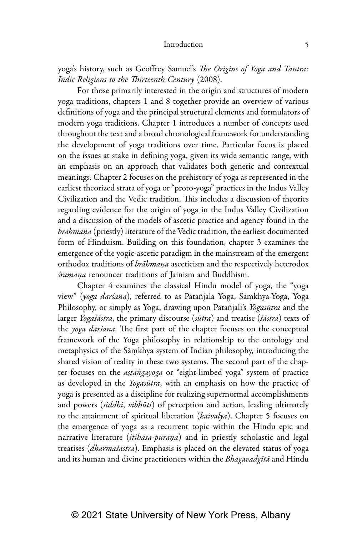yoga's history, such as Geoffrey Samuel's *The Origins of Yoga and Tantra: Indic Religions to the Thirteenth Century* (2008).

For those primarily interested in the origin and structures of modern yoga traditions, chapters 1 and 8 together provide an overview of various definitions of yoga and the principal structural elements and formulators of modern yoga traditions. Chapter 1 introduces a number of concepts used throughout the text and a broad chronological framework for understanding the development of yoga traditions over time. Particular focus is placed on the issues at stake in defining yoga, given its wide semantic range, with an emphasis on an approach that validates both generic and contextual meanings. Chapter 2 focuses on the prehistory of yoga as represented in the earliest theorized strata of yoga or "proto-yoga" practices in the Indus Valley Civilization and the Vedic tradition. This includes a discussion of theories regarding evidence for the origin of yoga in the Indus Valley Civilization and a discussion of the models of ascetic practice and agency found in the *brāhmaṇa* (priestly) literature of the Vedic tradition, the earliest documented form of Hinduism. Building on this foundation, chapter 3 examines the emergence of the yogic-ascetic paradigm in the mainstream of the emergent orthodox traditions of *brāhmaṇa* asceticism and the respectively heterodox *śramaṇa* renouncer traditions of Jainism and Buddhism.

Chapter 4 examines the classical Hindu model of yoga, the "yoga view" (*yoga darśana*), referred to as Pātañjala Yoga, Sāṃkhya-Yoga, Yoga Philosophy, or simply as Yoga, drawing upon Patañjali's *Yogasūtra* and the larger *Yogaśāstra*, the primary discourse (*sūtra*) and treatise (*śāstra*) texts of the *yoga darśana*. The first part of the chapter focuses on the conceptual framework of the Yoga philosophy in relationship to the ontology and metaphysics of the Sāṃkhya system of Indian philosophy, introducing the shared vision of reality in these two systems. The second part of the chapter focuses on the *aṣṭāṅgayoga* or "eight-limbed yoga" system of practice as developed in the *Yogasūtra*, with an emphasis on how the practice of yoga is presented as a discipline for realizing supernormal accomplishments and powers (*siddhi*, *vibhūti*) of perception and action, leading ultimately to the attainment of spiritual liberation (*kaivalya*). Chapter 5 focuses on the emergence of yoga as a recurrent topic within the Hindu epic and narrative literature (*itihāsa-purāṇa*) and in priestly scholastic and legal treatises (*dharmaśāstra*). Emphasis is placed on the elevated status of yoga and its human and divine practitioners within the *Bhagavadgītā* and Hindu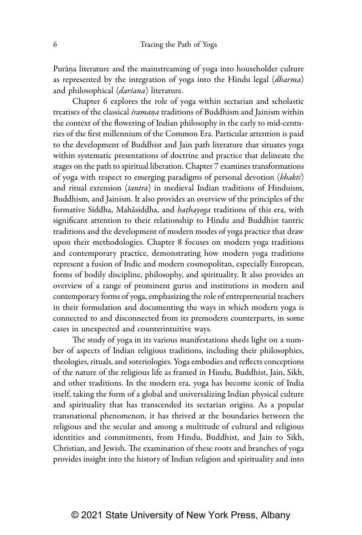Purāṇa literature and the mainstreaming of yoga into householder culture as represented by the integration of yoga into the Hindu legal (*dharma*) and philosophical (*darśana*) literature.

Chapter 6 explores the role of yoga within sectarian and scholastic treatises of the classical *śramaṇa* traditions of Buddhism and Jainism within the context of the flowering of Indian philosophy in the early to mid-centuries of the first millennium of the Common Era. Particular attention is paid to the development of Buddhist and Jain path literature that situates yoga within systematic presentations of doctrine and practice that delineate the stages on the path to spiritual liberation. Chapter 7 examines transformations of yoga with respect to emerging paradigms of personal devotion (*bhakti*) and ritual extension (*tantra*) in medieval Indian traditions of Hinduism, Buddhism, and Jainism. It also provides an overview of the principles of the formative Siddha, Mahāsiddha, and *haṭhayoga* traditions of this era, with significant attention to their relationship to Hindu and Buddhist tantric traditions and the development of modern modes of yoga practice that draw upon their methodologies. Chapter 8 focuses on modern yoga traditions and contemporary practice, demonstrating how modern yoga traditions represent a fusion of Indic and modern cosmopolitan, especially European, forms of bodily discipline, philosophy, and spirituality. It also provides an overview of a range of prominent gurus and institutions in modern and contemporary forms of yoga, emphasizing the role of entrepreneurial teachers in their formulation and documenting the ways in which modern yoga is connected to and disconnected from its premodern counterparts, in some cases in unexpected and counterintuitive ways.

The study of yoga in its various manifestations sheds light on a number of aspects of Indian religious traditions, including their philosophies, theologies, rituals, and soteriologies. Yoga embodies and reflects conceptions of the nature of the religious life as framed in Hindu, Buddhist, Jain, Sikh, and other traditions. In the modern era, yoga has become iconic of India itself, taking the form of a global and universalizing Indian physical culture and spirituality that has transcended its sectarian origins. As a popular transnational phenomenon, it has thrived at the boundaries between the religious and the secular and among a multitude of cultural and religious identities and commitments, from Hindu, Buddhist, and Jain to Sikh, Christian, and Jewish. The examination of these roots and branches of yoga provides insight into the history of Indian religion and spirituality and into